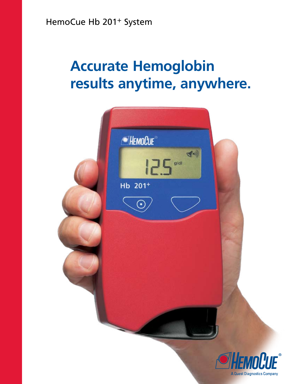HemoCue Hb 201+ System

# **Accurate Hemoglobin results anytime, anywhere.**

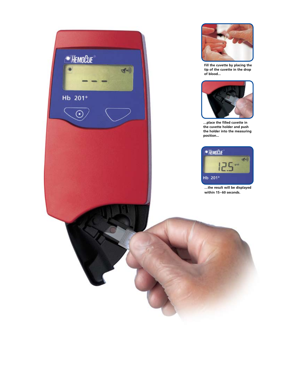



**Fill the cuvette by placing the tip of the cuvette in the drop of blood...**



**…place the filled cuvette in the cuvette holder and push the holder into the measuring position...**



**…the result will be displayed within 15–60 seconds.**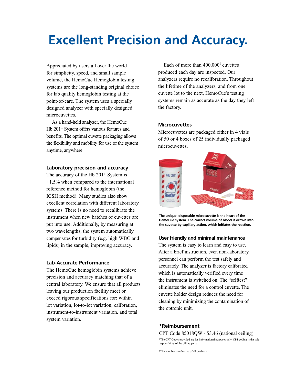## **Excellent Precision and Accuracy.**

Appreciated by users all over the world for simplicity, speed, and small sample volume, the HemoCue Hemoglobin testing systems are the long-standing original choice for lab quality hemoglobin testing at the point-of-care. The system uses a specially designed analyzer with specially designed microcuvettes.

As a hand-held analyzer, the HemoCue Hb 201+ System offers various features and benefits. The optimal cuvette packaging allows the flexibility and mobility for use of the system anytime, anywhere.

#### **Laboratory precision and accuracy**

The accuracy of the Hb 201<sup>+</sup> System is  $\pm 1.5\%$  when compared to the international reference method for hemoglobin (the ICSH method). Many studies also show excellent correlation with different laboratory systems. There is no need to recalibrate the instrument when new batches of cuvettes are put into use. Additionally, by measuring at two wavelengths, the system automatically compensates for turbidity (e.g. high WBC and lipids) in the sample, improving accuracy.

#### **Lab-Accurate Performance**

The HemoCue hemoglobin systems achieve precision and accuracy matching that of a central laboratory. We ensure that all products leaving our production facility meet or exceed rigorous specifications for: within lot variation, lot-to-lot variation, calibration, instrument-to-instrument variation, and total system variation.

Each of more than  $400,000<sup>1</sup>$  cuvettes produced each day are inspected. Our analyzers require no recalibration. Throughout the lifetime of the analyzers, and from one cuvette lot to the next, HemoCue's testing systems remain as accurate as the day they left the factory.

#### **Microcuvettes**

Microcuvettes are packaged either in 4 vials of 50 or 4 boxes of 25 individually packaged microcuvettes.



**The unique, disposable microcuvette is the heart of the HemoCue system. The correct volume of blood is drawn into the cuvette by capillary action, which initiates the reaction.**

#### **User friendly and minimal maintenance**

The system is easy to learn and easy to use. After a brief instruction, even non-laboratory personnel can perform the test safely and accurately. The analyzer is factory calibrated, which is automatically verified every time the instrument is switched on. The "selftest" eliminates the need for a control cuvette. The cuvette holder design reduces the need for cleaning by minimizing the contamination of the optronic unit.

#### **\*Reimbursement**

#### CPT Code 85018QW - \$3.46 (national ceiling)

\*The CPT Codes provided are for informational purposes only. CPT coding is the sole responsibility of the billing party.

<sup>1</sup> This number is reflective of all products.